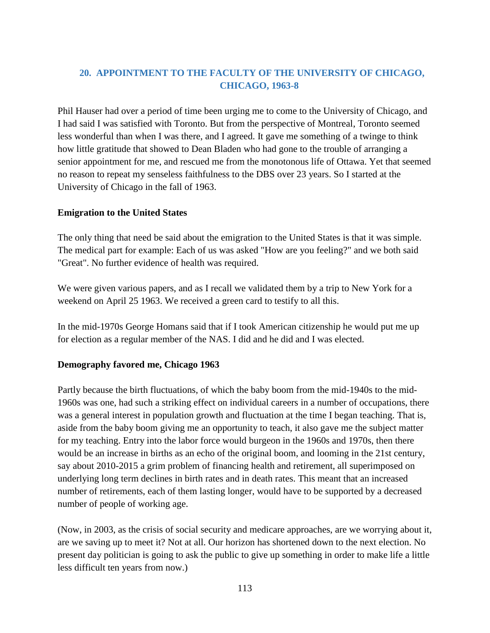## **20. APPOINTMENT TO THE FACULTY OF THE UNIVERSITY OF CHICAGO, CHICAGO, 1963-8**

Phil Hauser had over a period of time been urging me to come to the University of Chicago, and I had said I was satisfied with Toronto. But from the perspective of Montreal, Toronto seemed less wonderful than when I was there, and I agreed. It gave me something of a twinge to think how little gratitude that showed to Dean Bladen who had gone to the trouble of arranging a senior appointment for me, and rescued me from the monotonous life of Ottawa. Yet that seemed no reason to repeat my senseless faithfulness to the DBS over 23 years. So I started at the University of Chicago in the fall of 1963.

## **Emigration to the United States**

The only thing that need be said about the emigration to the United States is that it was simple. The medical part for example: Each of us was asked "How are you feeling?" and we both said "Great". No further evidence of health was required.

We were given various papers, and as I recall we validated them by a trip to New York for a weekend on April 25 1963. We received a green card to testify to all this.

In the mid-1970s George Homans said that if I took American citizenship he would put me up for election as a regular member of the NAS. I did and he did and I was elected.

## **Demography favored me, Chicago 1963**

Partly because the birth fluctuations, of which the baby boom from the mid-1940s to the mid-1960s was one, had such a striking effect on individual careers in a number of occupations, there was a general interest in population growth and fluctuation at the time I began teaching. That is, aside from the baby boom giving me an opportunity to teach, it also gave me the subject matter for my teaching. Entry into the labor force would burgeon in the 1960s and 1970s, then there would be an increase in births as an echo of the original boom, and looming in the 21st century, say about 2010-2015 a grim problem of financing health and retirement, all superimposed on underlying long term declines in birth rates and in death rates. This meant that an increased number of retirements, each of them lasting longer, would have to be supported by a decreased number of people of working age.

(Now, in 2003, as the crisis of social security and medicare approaches, are we worrying about it, are we saving up to meet it? Not at all. Our horizon has shortened down to the next election. No present day politician is going to ask the public to give up something in order to make life a little less difficult ten years from now.)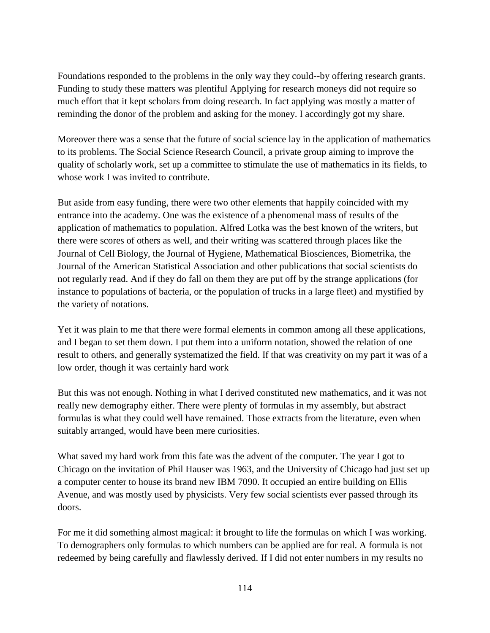Foundations responded to the problems in the only way they could--by offering research grants. Funding to study these matters was plentiful Applying for research moneys did not require so much effort that it kept scholars from doing research. In fact applying was mostly a matter of reminding the donor of the problem and asking for the money. I accordingly got my share.

Moreover there was a sense that the future of social science lay in the application of mathematics to its problems. The Social Science Research Council, a private group aiming to improve the quality of scholarly work, set up a committee to stimulate the use of mathematics in its fields, to whose work I was invited to contribute.

But aside from easy funding, there were two other elements that happily coincided with my entrance into the academy. One was the existence of a phenomenal mass of results of the application of mathematics to population. Alfred Lotka was the best known of the writers, but there were scores of others as well, and their writing was scattered through places like the Journal of Cell Biology, the Journal of Hygiene, Mathematical Biosciences, Biometrika, the Journal of the American Statistical Association and other publications that social scientists do not regularly read. And if they do fall on them they are put off by the strange applications (for instance to populations of bacteria, or the population of trucks in a large fleet) and mystified by the variety of notations.

Yet it was plain to me that there were formal elements in common among all these applications, and I began to set them down. I put them into a uniform notation, showed the relation of one result to others, and generally systematized the field. If that was creativity on my part it was of a low order, though it was certainly hard work

But this was not enough. Nothing in what I derived constituted new mathematics, and it was not really new demography either. There were plenty of formulas in my assembly, but abstract formulas is what they could well have remained. Those extracts from the literature, even when suitably arranged, would have been mere curiosities.

What saved my hard work from this fate was the advent of the computer. The year I got to Chicago on the invitation of Phil Hauser was 1963, and the University of Chicago had just set up a computer center to house its brand new IBM 7090. It occupied an entire building on Ellis Avenue, and was mostly used by physicists. Very few social scientists ever passed through its doors.

For me it did something almost magical: it brought to life the formulas on which I was working. To demographers only formulas to which numbers can be applied are for real. A formula is not redeemed by being carefully and flawlessly derived. If I did not enter numbers in my results no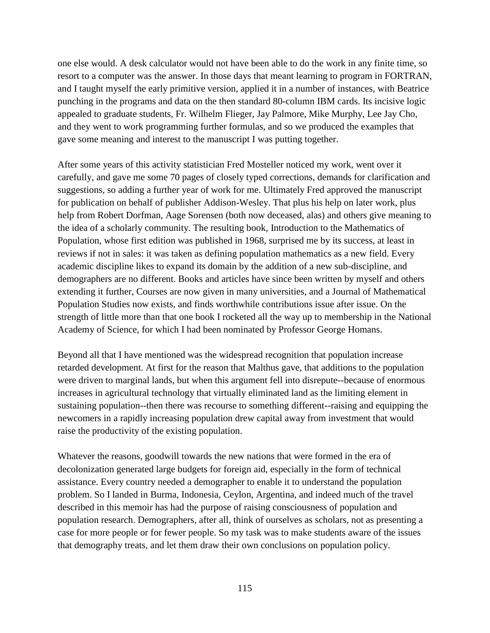one else would. A desk calculator would not have been able to do the work in any finite time, so resort to a computer was the answer. In those days that meant learning to program in FORTRAN, and I taught myself the early primitive version, applied it in a number of instances, with Beatrice punching in the programs and data on the then standard 80-column IBM cards. Its incisive logic appealed to graduate students, Fr. Wilhelm Flieger, Jay Palmore, Mike Murphy, Lee Jay Cho, and they went to work programming further formulas, and so we produced the examples that gave some meaning and interest to the manuscript I was putting together.

After some years of this activity statistician Fred Mosteller noticed my work, went over it carefully, and gave me some 70 pages of closely typed corrections, demands for clarification and suggestions, so adding a further year of work for me. Ultimately Fred approved the manuscript for publication on behalf of publisher Addison-Wesley. That plus his help on later work, plus help from Robert Dorfman, Aage Sorensen (both now deceased, alas) and others give meaning to the idea of a scholarly community. The resulting book, Introduction to the Mathematics of Population, whose first edition was published in 1968, surprised me by its success, at least in reviews if not in sales: it was taken as defining population mathematics as a new field. Every academic discipline likes to expand its domain by the addition of a new sub-discipline, and demographers are no different. Books and articles have since been written by myself and others extending it further, Courses are now given in many universities, and a Journal of Mathematical Population Studies now exists, and finds worthwhile contributions issue after issue. On the strength of little more than that one book I rocketed all the way up to membership in the National Academy of Science, for which I had been nominated by Professor George Homans.

Beyond all that I have mentioned was the widespread recognition that population increase retarded development. At first for the reason that Malthus gave, that additions to the population were driven to marginal lands, but when this argument fell into disrepute--because of enormous increases in agricultural technology that virtually eliminated land as the limiting element in sustaining population--then there was recourse to something different--raising and equipping the newcomers in a rapidly increasing population drew capital away from investment that would raise the productivity of the existing population.

Whatever the reasons, goodwill towards the new nations that were formed in the era of decolonization generated large budgets for foreign aid, especially in the form of technical assistance. Every country needed a demographer to enable it to understand the population problem. So I landed in Burma, Indonesia, Ceylon, Argentina, and indeed much of the travel described in this memoir has had the purpose of raising consciousness of population and population research. Demographers, after all, think of ourselves as scholars, not as presenting a case for more people or for fewer people. So my task was to make students aware of the issues that demography treats, and let them draw their own conclusions on population policy.